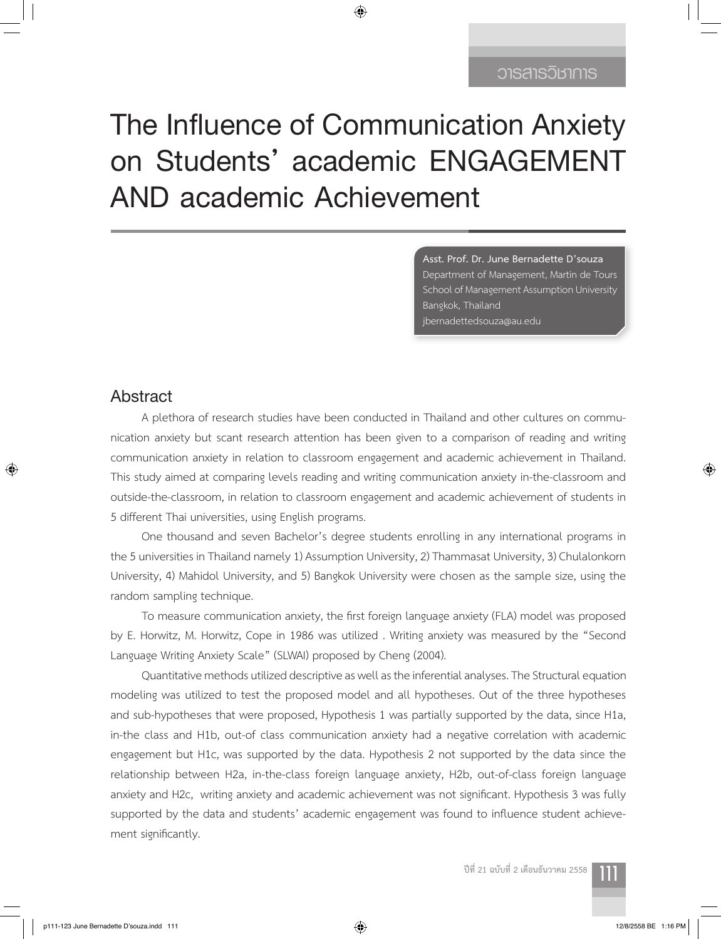# **The Influence of Communication Anxiety on Students' academic ENGAGEMENT AND academic Achievement**

◈

**Asst. Prof. Dr. June Bernadette D'souza** Department of Management, Martin de Tours School of Management Assumption University Bangkok, Thailand jbernadettedsouza@au.edu

## **Abstract**

⊕

A plethora of research studies have been conducted in Thailand and other cultures on communication anxiety but scant research attention has been given to a comparison of reading and writing communication anxiety in relation to classroom engagement and academic achievement in Thailand. This study aimed at comparing levels reading and writing communication anxiety in-the-classroom and outside-the-classroom, in relation to classroom engagement and academic achievement of students in 5 different Thai universities, using English programs.

One thousand and seven Bachelor's degree students enrolling in any international programs in the 5 universities in Thailand namely 1) Assumption University, 2) Thammasat University, 3) Chulalonkorn University, 4) Mahidol University, and 5) Bangkok University were chosen as the sample size, using the random sampling technique.

To measure communication anxiety, the first foreign language anxiety (FLA) model was proposed by E. Horwitz, M. Horwitz, Cope in 1986 was utilized . Writing anxiety was measured by the "Second Language Writing Anxiety Scale" (SLWAI) proposed by Cheng (2004).

Quantitative methods utilized descriptive as well as the inferential analyses. The Structural equation modeling was utilized to test the proposed model and all hypotheses. Out of the three hypotheses and sub-hypotheses that were proposed, Hypothesis 1 was partially supported by the data, since H1a, in-the class and H1b, out-of class communication anxiety had a negative correlation with academic engagement but H1c, was supported by the data. Hypothesis 2 not supported by the data since the relationship between H2a, in-the-class foreign language anxiety, H2b, out-of-class foreign language anxiety and H2c, writing anxiety and academic achievement was not significant. Hypothesis 3 was fully supported by the data and students' academic engagement was found to influence student achievement significantly.

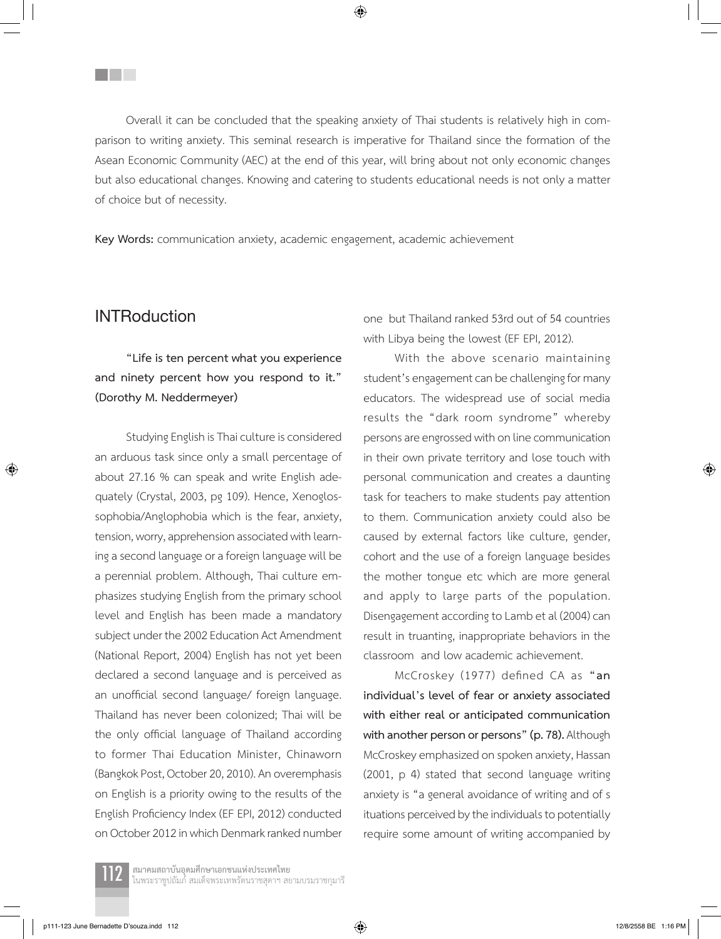Overall it can be concluded that the speaking anxiety of Thai students is relatively high in comparison to writing anxiety. This seminal research is imperative for Thailand since the formation of the Asean Economic Community (AEC) at the end of this year, will bring about not only economic changes but also educational changes. Knowing and catering to students educational needs is not only a matter of choice but of necessity.

◈

**Key Words:** communication anxiety, academic engagement, academic achievement

### **INTRoduction**

⊕

**THE SEA** 

**"Life is ten percent what you experience and ninety percent how you respond to it." (Dorothy M. Neddermeyer)**

Studying English is Thai culture is considered an arduous task since only a small percentage of about 27.16 % can speak and write English adequately (Crystal, 2003, pg 109). Hence, Xenoglossophobia/Anglophobia which is the fear, anxiety, tension, worry, apprehension associated with learning a second language or a foreign language will be a perennial problem. Although, Thai culture emphasizes studying English from the primary school level and English has been made a mandatory subject under the 2002 Education Act Amendment (National Report, 2004) English has not yet been declared a second language and is perceived as an unofficial second language/ foreign language. Thailand has never been colonized; Thai will be the only official language of Thailand according to former Thai Education Minister, Chinaworn (Bangkok Post, October 20, 2010). An overemphasis on English is a priority owing to the results of the English Proficiency Index (EF EPI, 2012) conducted on October 2012 in which Denmark ranked number one but Thailand ranked 53rd out of 54 countries with Libya being the lowest (EF EPI, 2012).

With the above scenario maintaining student's engagement can be challenging for many educators. The widespread use of social media results the "dark room syndrome" whereby persons are engrossed with on line communication in their own private territory and lose touch with personal communication and creates a daunting task for teachers to make students pay attention to them. Communication anxiety could also be caused by external factors like culture, gender, cohort and the use of a foreign language besides the mother tongue etc which are more general and apply to large parts of the population. Disengagement according to Lamb et al (2004) can result in truanting, inappropriate behaviors in the classroom and low academic achievement.

McCroskey (1977) defined CA as **"an individual's level of fear or anxiety associated with either real or anticipated communication with another person or persons" (p. 78).** Although McCroskey emphasized on spoken anxiety, Hassan (2001, p 4) stated that second language writing anxiety is "a general avoidance of writing and of s ituations perceived by the individuals to potentially require some amount of writing accompanied by

ี**สมาคมสถาบันอุดมศึกษาเอกชนแห่งประเทศไทย**<br>ในพระราชูปถัมภ์ สมเด็จพระเทพรัตนราชสุดาฯ สยามบรมราชกุมารี

p111-123 June Bernadette D'souza.indd 112 **12/8/2558 BE 1:16 PM** 12/8/2558 BE 1:16 PM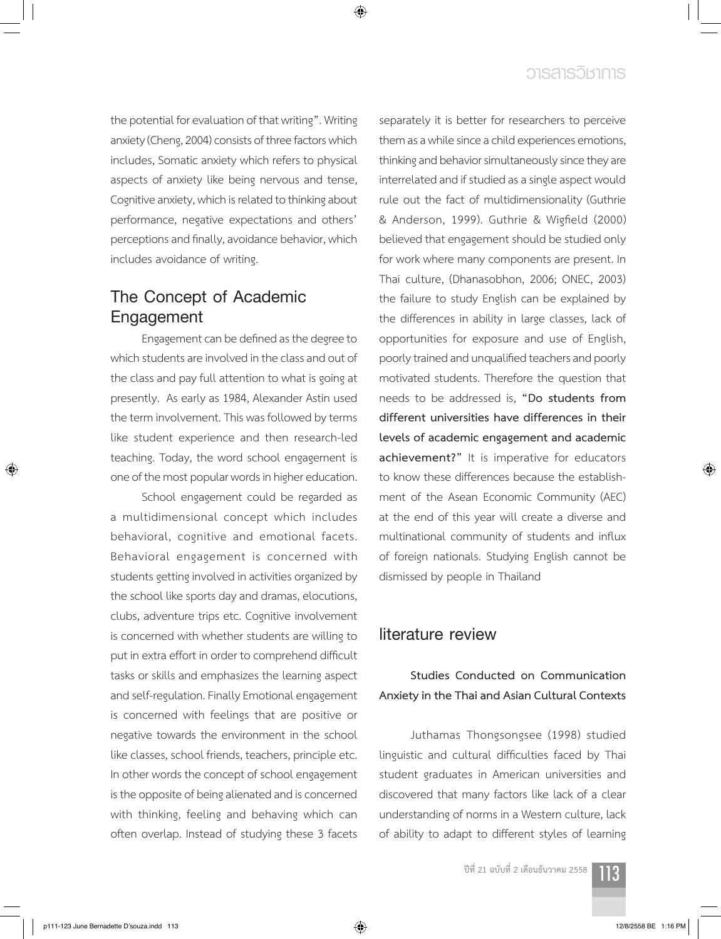# **วารสารวิชาการ**

the potential for evaluation of that writing". Writing anxiety (Cheng, 2004) consists of three factors which includes, Somatic anxiety which refers to physical aspects of anxiety like being nervous and tense, Cognitive anxiety, which is related to thinking about performance, negative expectations and others' perceptions and finally, avoidance behavior, which includes avoidance of writing.

# **The Concept of Academic Engagement**

Engagement can be defined as the degree to which students are involved in the class and out of the class and pay full attention to what is going at presently. As early as 1984, Alexander Astin used the term involvement. This was followed by terms like student experience and then research-led teaching. Today, the word school engagement is one of the most popular words in higher education.

School engagement could be regarded as a multidimensional concept which includes behavioral, cognitive and emotional facets. Behavioral engagement is concerned with students getting involved in activities organized by the school like sports day and dramas, elocutions, clubs, adventure trips etc. Cognitive involvement is concerned with whether students are willing to put in extra effort in order to comprehend difficult tasks or skills and emphasizes the learning aspect and self-regulation. Finally Emotional engagement is concerned with feelings that are positive or negative towards the environment in the school like classes, school friends, teachers, principle etc. In other words the concept of school engagement is the opposite of being alienated and is concerned with thinking, feeling and behaving which can often overlap. Instead of studying these 3 facets

separately it is better for researchers to perceive them as a while since a child experiences emotions, thinking and behavior simultaneously since they are interrelated and if studied as a single aspect would rule out the fact of multidimensionality (Guthrie & Anderson, 1999). Guthrie & Wigfield (2000) believed that engagement should be studied only for work where many components are present. In Thai culture, (Dhanasobhon, 2006; ONEC, 2003) the failure to study English can be explained by the differences in ability in large classes, lack of opportunities for exposure and use of English, poorly trained and unqualified teachers and poorly motivated students. Therefore the question that needs to be addressed is, **"Do students from different universities have differences in their levels of academic engagement and academic achievement?"** It is imperative for educators to know these differences because the establishment of the Asean Economic Community (AEC) at the end of this year will create a diverse and multinational community of students and influx of foreign nationals. Studying English cannot be dismissed by people in Thailand

## **literature review**

## **Studies Conducted on Communication Anxiety in the Thai and Asian Cultural Contexts**

Juthamas Thongsongsee (1998) studied linguistic and cultural difficulties faced by Thai student graduates in American universities and discovered that many factors like lack of a clear understanding of norms in a Western culture, lack of ability to adapt to different styles of learning

**ปีที่ 21 ฉบับที่ 2 เดือนธันวาคม 2558** 113



⊕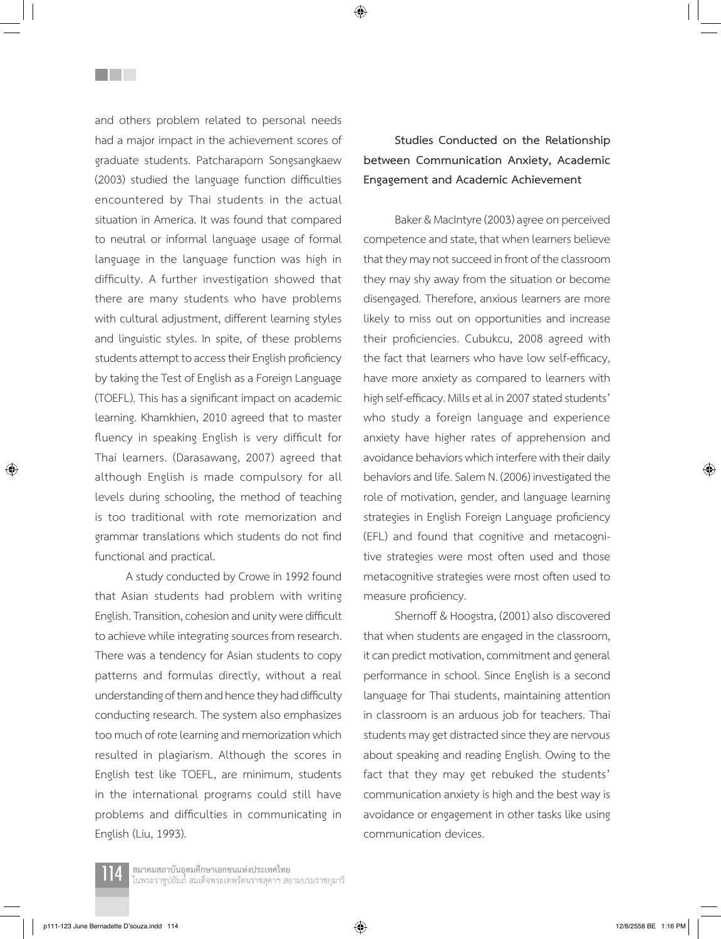and others problem related to personal needs had a major impact in the achievement scores of graduate students. Patcharaporn Songsangkaew (2003) studied the language function difficulties encountered by Thai students in the actual situation in America. It was found that compared to neutral or informal language usage of formal language in the language function was high in difficulty. A further investigation showed that there are many students who have problems with cultural adjustment, different learning styles and linguistic styles. In spite, of these problems students attempt to access their English proficiency by taking the Test of English as a Foreign Language (TOEFL). This has a significant impact on academic learning. Khamkhien, 2010 agreed that to master fluency in speaking English is very difficult for Thai learners. (Darasawang, 2007) agreed that although English is made compulsory for all levels during schooling, the method of teaching is too traditional with rote memorization and grammar translations which students do not find functional and practical.

<u>Filmer</u>

A study conducted by Crowe in 1992 found that Asian students had problem with writing English. Transition, cohesion and unity were difficult to achieve while integrating sources from research. There was a tendency for Asian students to copy patterns and formulas directly, without a real understanding of them and hence they had difficulty conducting research. The system also emphasizes too much of rote learning and memorization which resulted in plagiarism. Although the scores in English test like TOEFL, are minimum, students in the international programs could still have problems and difficulties in communicating in English (Liu, 1993).

**Studies Conducted on the Relationship between Communication Anxiety, Academic Engagement and Academic Achievement**

Baker & MacIntyre (2003) agree on perceived competence and state, that when learners believe that they may not succeed in front of the classroom they may shy away from the situation or become disengaged. Therefore, anxious learners are more likely to miss out on opportunities and increase their proficiencies. Cubukcu, 2008 agreed with the fact that learners who have low self-efficacy, have more anxiety as compared to learners with high self-efficacy. Mills et al in 2007 stated students' who study a foreign language and experience anxiety have higher rates of apprehension and avoidance behaviors which interfere with their daily behaviors and life. Salem N. (2006) investigated the role of motivation, gender, and language learning strategies in English Foreign Language proficiency (EFL) and found that cognitive and metacognitive strategies were most often used and those metacognitive strategies were most often used to measure proficiency.

Shernoff & Hoogstra, (2001) also discovered that when students are engaged in the classroom, it can predict motivation, commitment and general performance in school. Since English is a second language for Thai students, maintaining attention in classroom is an arduous job for teachers. Thai students may get distracted since they are nervous about speaking and reading English. Owing to the fact that they may get rebuked the students' communication anxiety is high and the best way is avoidance or engagement in other tasks like using communication devices.

⊕

ี**สมาคมสถาบันอุดมศึกษาเอกชนแห่งประเทศไทย**<br>ในพระราชูปถัมภ์ สมเด็จพระเทพรัตนราชสุดาฯ สยามบรมราชกุมารี

p111-123 June Bernadette D'souza.indd 114 12/8/2558 BE 1:16 PM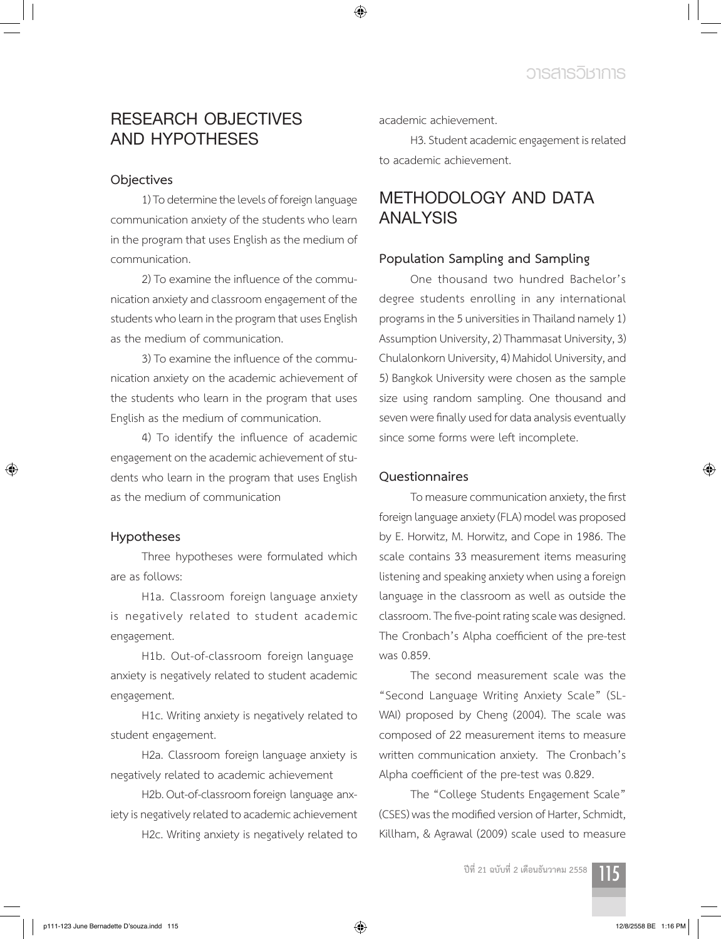# **RESEARCH OBJECTIVES AND HYPOTHESES**

#### **Objectives**

1) To determine the levels of foreign language communication anxiety of the students who learn in the program that uses English as the medium of communication.

2) To examine the influence of the communication anxiety and classroom engagement of the students who learn in the program that uses English as the medium of communication.

3) To examine the influence of the communication anxiety on the academic achievement of the students who learn in the program that uses English as the medium of communication.

4) To identify the influence of academic engagement on the academic achievement of students who learn in the program that uses English as the medium of communication

#### **Hypotheses**

⊕

Three hypotheses were formulated which are as follows:

H1a. Classroom foreign language anxiety is negatively related to student academic engagement.

H1b. Out-of-classroom foreign language anxiety is negatively related to student academic engagement.

H1c. Writing anxiety is negatively related to student engagement.

H2a. Classroom foreign language anxiety is negatively related to academic achievement

H2b. Out-of-classroom foreign language anxiety is negatively related to academic achievement H2c. Writing anxiety is negatively related to academic achievement.

◈

H3. Student academic engagement is related to academic achievement.

# **METHODOLOGY AND DATA ANALYSIS**

#### **Population Sampling and Sampling**

One thousand two hundred Bachelor's degree students enrolling in any international programs in the 5 universities in Thailand namely 1) Assumption University, 2) Thammasat University, 3) Chulalonkorn University, 4) Mahidol University, and 5) Bangkok University were chosen as the sample size using random sampling. One thousand and seven were finally used for data analysis eventually since some forms were left incomplete.

#### **Questionnaires**

To measure communication anxiety, the first foreign language anxiety (FLA) model was proposed by E. Horwitz, M. Horwitz, and Cope in 1986. The scale contains 33 measurement items measuring listening and speaking anxiety when using a foreign language in the classroom as well as outside the classroom. The five-point rating scale was designed. The Cronbach's Alpha coefficient of the pre-test was 0.859.

The second measurement scale was the "Second Language Writing Anxiety Scale" (SL-WAI) proposed by Cheng (2004). The scale was composed of 22 measurement items to measure written communication anxiety. The Cronbach's Alpha coefficient of the pre-test was 0.829.

The "College Students Engagement Scale" (CSES) was the modified version of Harter, Schmidt, Killham, & Agrawal (2009) scale used to measure

**ปีที่ 21 ฉบับที่ 2 เดือนธันวาคม 2558** 115

↔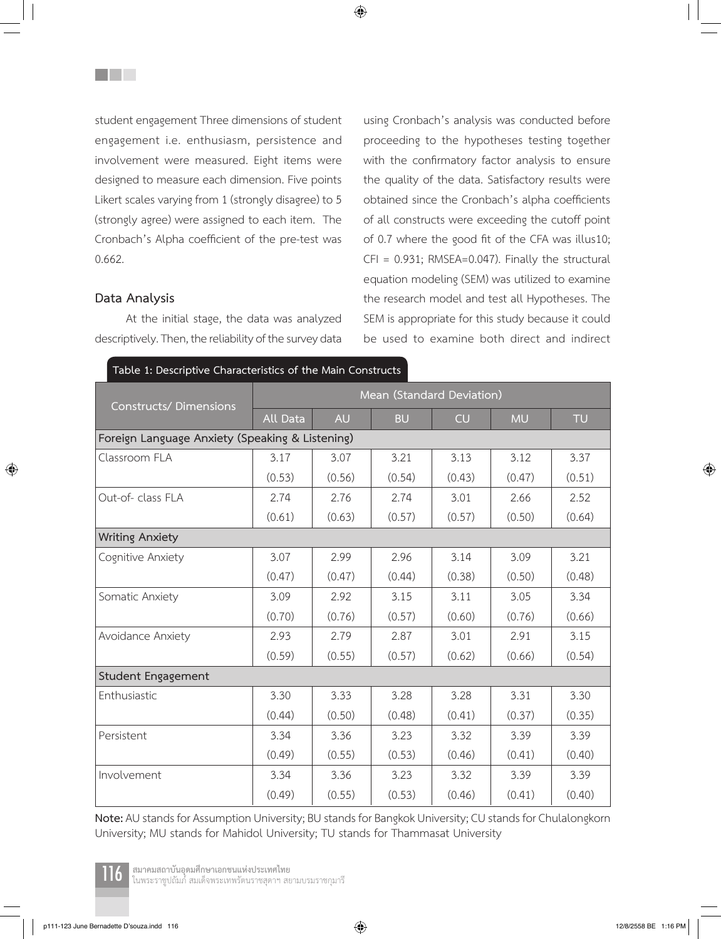student engagement Three dimensions of student engagement i.e. enthusiasm, persistence and involvement were measured. Eight items were designed to measure each dimension. Five points Likert scales varying from 1 (strongly disagree) to 5 (strongly agree) were assigned to each item. The Cronbach's Alpha coefficient of the pre-test was 0.662.

#### **Data Analysis**

⊕

<u>Filmer</u>

At the initial stage, the data was analyzed descriptively. Then, the reliability of the survey data using Cronbach's analysis was conducted before proceeding to the hypotheses testing together with the confirmatory factor analysis to ensure the quality of the data. Satisfactory results were obtained since the Cronbach's alpha coefficients of all constructs were exceeding the cutoff point of 0.7 where the good fit of the CFA was illus10; CFI = 0.931; RMSEA=0.047). Finally the structural equation modeling (SEM) was utilized to examine the research model and test all Hypotheses. The SEM is appropriate for this study because it could be used to examine both direct and indirect

| <b>Constructs/Dimensions</b>                    | Mean (Standard Deviation) |           |           |           |           |           |  |  |  |  |  |
|-------------------------------------------------|---------------------------|-----------|-----------|-----------|-----------|-----------|--|--|--|--|--|
|                                                 | <b>All Data</b>           | <b>AU</b> | <b>BU</b> | <b>CU</b> | <b>MU</b> | <b>TU</b> |  |  |  |  |  |
| Foreign Language Anxiety (Speaking & Listening) |                           |           |           |           |           |           |  |  |  |  |  |
| Classroom FLA                                   | 3.17                      | 3.07      | 3.21      | 3.13      | 3.12      | 3.37      |  |  |  |  |  |
|                                                 | (0.53)                    | (0.56)    | (0.54)    | (0.43)    | (0.47)    | (0.51)    |  |  |  |  |  |
| Out-of-class FLA                                | 2.74                      | 2.76      | 2.74      | 3.01      | 2.66      | 2.52      |  |  |  |  |  |
|                                                 | (0.61)                    | (0.63)    | (0.57)    | (0.57)    | (0.50)    | (0.64)    |  |  |  |  |  |
| <b>Writing Anxiety</b>                          |                           |           |           |           |           |           |  |  |  |  |  |
| Cognitive Anxiety                               | 3.07                      | 2.99      | 2.96      | 3.14      | 3.09      | 3.21      |  |  |  |  |  |
|                                                 | (0.47)                    | (0.47)    | (0.44)    | (0.38)    | (0.50)    | (0.48)    |  |  |  |  |  |
| Somatic Anxiety                                 | 3.09                      | 2.92      | 3.15      | 3.11      | 3.05      | 3.34      |  |  |  |  |  |
|                                                 | (0.70)                    | (0.76)    | (0.57)    | (0.60)    | (0.76)    | (0.66)    |  |  |  |  |  |
| Avoidance Anxiety                               | 2.93                      | 2.79      | 2.87      | 3.01      | 2.91      | 3.15      |  |  |  |  |  |
|                                                 | (0.59)                    | (0.55)    | (0.57)    | (0.62)    | (0.66)    | (0.54)    |  |  |  |  |  |
| Student Engagement                              |                           |           |           |           |           |           |  |  |  |  |  |
| Enthusiastic                                    | 3.30                      | 3.33      | 3.28      | 3.28      | 3.31      | 3.30      |  |  |  |  |  |
|                                                 | (0.44)                    | (0.50)    | (0.48)    | (0.41)    | (0.37)    | (0.35)    |  |  |  |  |  |
| Persistent                                      | 3.34                      | 3.36      | 3.23      | 3.32      | 3.39      | 3.39      |  |  |  |  |  |
|                                                 | (0.49)                    | (0.55)    | (0.53)    | (0.46)    | (0.41)    | (0.40)    |  |  |  |  |  |
| Involvement                                     | 3.34                      | 3.36      | 3.23      | 3.32      | 3.39      | 3.39      |  |  |  |  |  |
|                                                 | (0.49)                    | (0.55)    | (0.53)    | (0.46)    | (0.41)    | (0.40)    |  |  |  |  |  |

**Table 1: Descriptive Characteristics of the Main Constructs**

**Note:** AU stands for Assumption University; BU stands for Bangkok University; CU stands for Chulalongkorn University; MU stands for Mahidol University; TU stands for Thammasat University



ี**สมาคมสถาบันอุดมศึกษาเอกชนแห่งประเทศไทย**<br>ในพระราชูปถัมภ์ สมเด็จพระเทพรัตนราชสุดาฯ สยามบรมราชกุมารี

p111-123 June Bernadette D'souza.indd 116 12/8/2558 BE 1:16 PM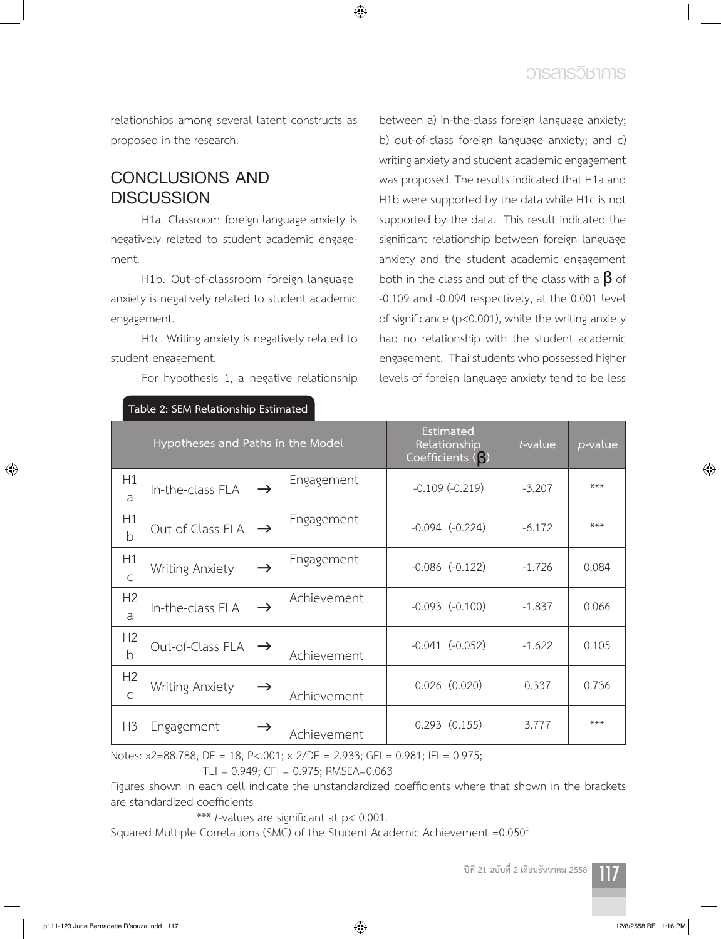relationships among several latent constructs as proposed in the research.

# **CONCLUSIONS AND DISCUSSION**

H1a. Classroom foreign language anxiety is negatively related to student academic engagement.

H1b. Out-of-classroom foreign language anxiety is negatively related to student academic engagement.

H1c. Writing anxiety is negatively related to student engagement.

**Table 2: SEM Relationship Estimated** 

For hypothesis 1, a negative relationship

between a) in-the-class foreign language anxiety; b) out-of-class foreign language anxiety; and c) writing anxiety and student academic engagement was proposed. The results indicated that H1a and H1b were supported by the data while H1c is not supported by the data. This result indicated the significant relationship between foreign language anxiety and the student academic engagement both in the class and out of the class with a  $\beta$  of -0.109 and -0.094 respectively, at the 0.001 level of significance (p<0.001), while the writing anxiety had no relationship with the student academic engagement. Thai students who possessed higher levels of foreign language anxiety tend to be less

| Hypotheses and Paths in the Model |                                |               | Estimated<br>Relationship<br>Coefficients (3) | $t$ -value          | p-value  |       |
|-----------------------------------|--------------------------------|---------------|-----------------------------------------------|---------------------|----------|-------|
| H1<br>a                           | In-the-class FLA               | $\rightarrow$ | Engagement                                    | $-0.109(-0.219)$    | $-3.207$ | $***$ |
| H1<br>$\mathsf b$                 | Out-of-Class FLA               | $\rightarrow$ | Engagement                                    | $-0.094$ $(-0.224)$ | $-6.172$ | $***$ |
| H1<br>$\mathsf{C}$                | <b>Writing Anxiety</b>         | $\rightarrow$ | Engagement                                    | $-0.086$ $(-0.122)$ | $-1.726$ | 0.084 |
| H2<br>a                           | In-the-class FLA               | $\rightarrow$ | Achievement                                   | $-0.093$ $(-0.100)$ | $-1.837$ | 0.066 |
| H2<br>b                           | Out-of-Class FLA $\rightarrow$ |               | Achievement                                   | $-0.041$ $(-0.052)$ | $-1.622$ | 0.105 |
| H <sub>2</sub><br>$\mathsf{C}$    | <b>Writing Anxiety</b>         | $\rightarrow$ | Achievement                                   | $0.026$ $(0.020)$   | 0.337    | 0.736 |
| H <sub>3</sub>                    | Engagement                     | $\rightarrow$ | Achievement                                   | $0.293$ $(0.155)$   | 3.777    | $***$ |

◈

Notes: x2=88.788, DF = 18, P<.001; x 2/DF = 2.933; GFI = 0.981; IFI = 0.975; TLI = 0.949; CFI = 0.975; RMSEA=0.063

Figures shown in each cell indicate the unstandardized coefficients where that shown in the brackets are standardized coefficients

\*\*\* *t*-values are significant at p< 0.001.

Squared Multiple Correlations (SMC) of the Student Academic Achievement = 0.050°



⊕

 $\bigoplus$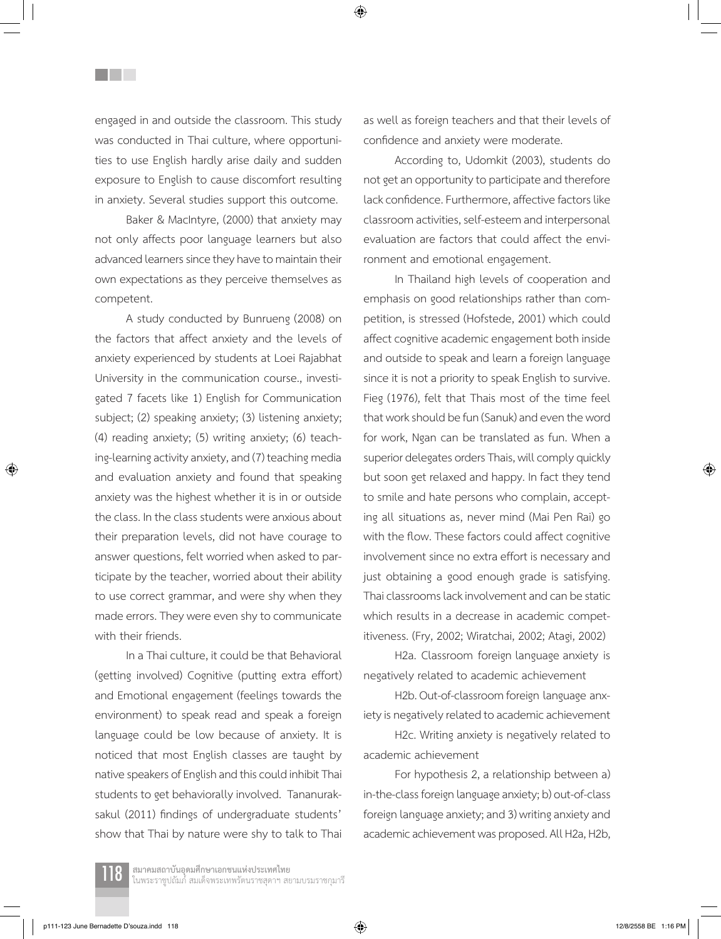engaged in and outside the classroom. This study was conducted in Thai culture, where opportunities to use English hardly arise daily and sudden exposure to English to cause discomfort resulting in anxiety. Several studies support this outcome.

<u>Filmer</u>

Baker & MacIntyre, (2000) that anxiety may not only affects poor language learners but also advanced learners since they have to maintain their own expectations as they perceive themselves as competent.

A study conducted by Bunrueng (2008) on the factors that affect anxiety and the levels of anxiety experienced by students at Loei Rajabhat University in the communication course., investigated 7 facets like 1) English for Communication subject; (2) speaking anxiety; (3) listening anxiety; (4) reading anxiety; (5) writing anxiety; (6) teaching-learning activity anxiety, and (7) teaching media and evaluation anxiety and found that speaking anxiety was the highest whether it is in or outside the class. In the class students were anxious about their preparation levels, did not have courage to answer questions, felt worried when asked to participate by the teacher, worried about their ability to use correct grammar, and were shy when they made errors. They were even shy to communicate with their friends.

In a Thai culture, it could be that Behavioral (getting involved) Cognitive (putting extra effort) and Emotional engagement (feelings towards the environment) to speak read and speak a foreign language could be low because of anxiety. It is noticed that most English classes are taught by native speakers of English and this could inhibit Thai students to get behaviorally involved. Tananuraksakul (2011) findings of undergraduate students' show that Thai by nature were shy to talk to Thai as well as foreign teachers and that their levels of confidence and anxiety were moderate.

According to, Udomkit (2003), students do not get an opportunity to participate and therefore lack confidence. Furthermore, affective factors like classroom activities, self-esteem and interpersonal evaluation are factors that could affect the environment and emotional engagement.

In Thailand high levels of cooperation and emphasis on good relationships rather than competition, is stressed (Hofstede, 2001) which could affect cognitive academic engagement both inside and outside to speak and learn a foreign language since it is not a priority to speak English to survive. Fieg (1976), felt that Thais most of the time feel that work should be fun (Sanuk) and even the word for work, Ngan can be translated as fun. When a superior delegates orders Thais, will comply quickly but soon get relaxed and happy. In fact they tend to smile and hate persons who complain, accepting all situations as, never mind (Mai Pen Rai) go with the flow. These factors could affect cognitive involvement since no extra effort is necessary and just obtaining a good enough grade is satisfying. Thai classrooms lack involvement and can be static which results in a decrease in academic competitiveness. (Fry, 2002; Wiratchai, 2002; Atagi, 2002)

H2a. Classroom foreign language anxiety is negatively related to academic achievement

H2b. Out-of-classroom foreign language anxiety is negatively related to academic achievement

H2c. Writing anxiety is negatively related to academic achievement

For hypothesis 2, a relationship between a) in-the-class foreign language anxiety; b) out-of-class foreign language anxiety; and 3) writing anxiety and academic achievement was proposed. All H2a, H2b,



⊕

 $\bigoplus$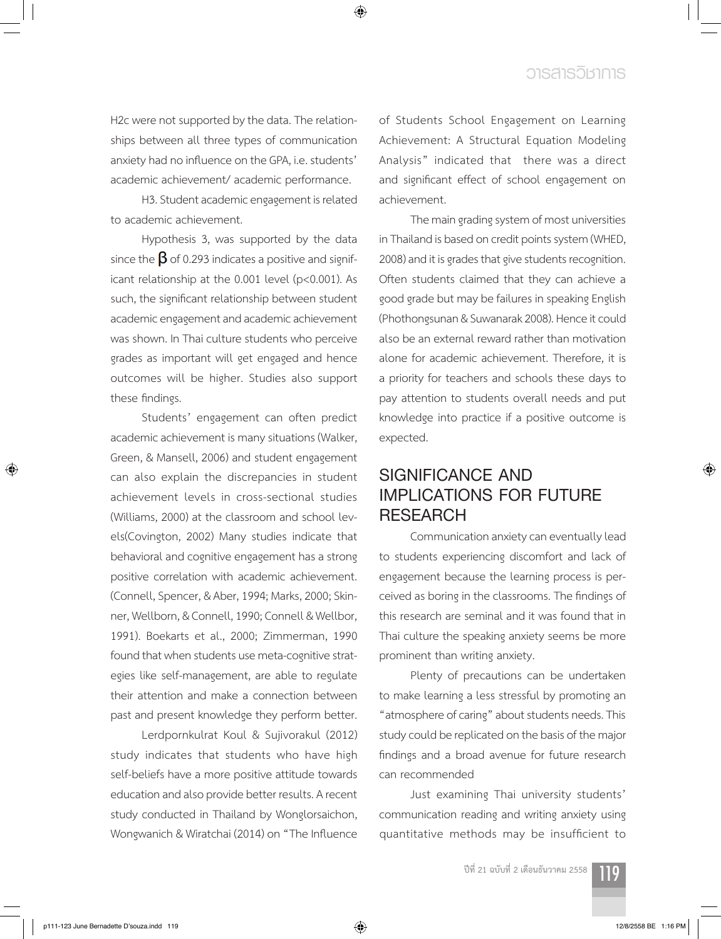H2c were not supported by the data. The relationships between all three types of communication anxiety had no influence on the GPA, i.e. students' academic achievement/ academic performance.

◈

H3. Student academic engagement is related to academic achievement.

Hypothesis 3, was supported by the data since the  $\beta$  of 0.293 indicates a positive and significant relationship at the 0.001 level (p<0.001). As such, the significant relationship between student academic engagement and academic achievement was shown. In Thai culture students who perceive grades as important will get engaged and hence outcomes will be higher. Studies also support these findings.

Students' engagement can often predict academic achievement is many situations (Walker, Green, & Mansell, 2006) and student engagement can also explain the discrepancies in student achievement levels in cross-sectional studies (Williams, 2000) at the classroom and school levels(Covington, 2002) Many studies indicate that behavioral and cognitive engagement has a strong positive correlation with academic achievement. (Connell, Spencer, & Aber, 1994; Marks, 2000; Skinner, Wellborn, & Connell, 1990; Connell & Wellbor, 1991). Boekarts et al., 2000; Zimmerman, 1990 found that when students use meta-cognitive strategies like self-management, are able to regulate their attention and make a connection between past and present knowledge they perform better.

Lerdpornkulrat Koul & Sujivorakul (2012) study indicates that students who have high self-beliefs have a more positive attitude towards education and also provide better results. A recent study conducted in Thailand by Wonglorsaichon, Wongwanich & Wiratchai (2014) on "The Influence of Students School Engagement on Learning Achievement: A Structural Equation Modeling Analysis" indicated that there was a direct and significant effect of school engagement on achievement.

The main grading system of most universities in Thailand is based on credit points system (WHED, 2008) and it is grades that give students recognition. Often students claimed that they can achieve a good grade but may be failures in speaking English (Phothongsunan & Suwanarak 2008). Hence it could also be an external reward rather than motivation alone for academic achievement. Therefore, it is a priority for teachers and schools these days to pay attention to students overall needs and put knowledge into practice if a positive outcome is expected.

# **SIGNIFICANCE AND IMPLICATIONS FOR FUTURE RESEARCH**

Communication anxiety can eventually lead to students experiencing discomfort and lack of engagement because the learning process is perceived as boring in the classrooms. The findings of this research are seminal and it was found that in Thai culture the speaking anxiety seems be more prominent than writing anxiety.

Plenty of precautions can be undertaken to make learning a less stressful by promoting an "atmosphere of caring" about students needs. This study could be replicated on the basis of the major findings and a broad avenue for future research can recommended

Just examining Thai university students' communication reading and writing anxiety using quantitative methods may be insufficient to

**ปีที่ 21 ฉบับที่ 2 เดือนธันวาคม 2558** 119

⊕

◈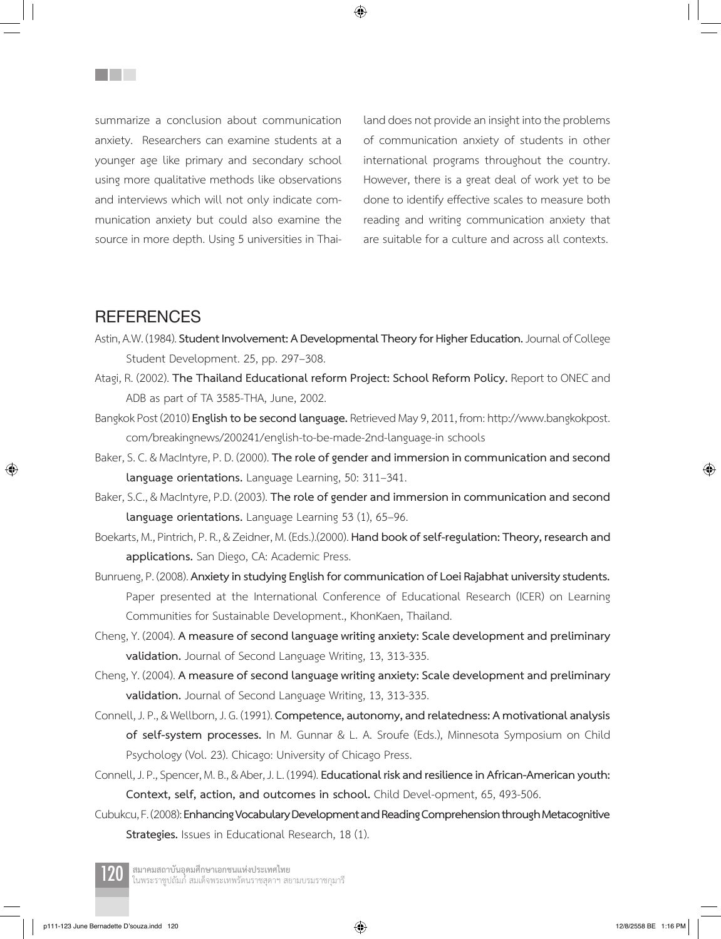summarize a conclusion about communication anxiety. Researchers can examine students at a younger age like primary and secondary school using more qualitative methods like observations and interviews which will not only indicate communication anxiety but could also examine the source in more depth. Using 5 universities in Thailand does not provide an insight into the problems of communication anxiety of students in other international programs throughout the country. However, there is a great deal of work yet to be done to identify effective scales to measure both reading and writing communication anxiety that are suitable for a culture and across all contexts.

## **REFERENCES**

⊕

**THE SEA** 

Astin, A.W. (1984). **Student Involvement: A Developmental Theory for Higher Education.** Journal of College Student Development. 25, pp. 297–308.

◈

- Atagi, R. (2002). **The Thailand Educational reform Project: School Reform Policy.** Report to ONEC and ADB as part of TA 3585-THA, June, 2002.
- Bangkok Post (2010) **English to be second language.** Retrieved May 9, 2011, from: http://www.bangkokpost. com/breakingnews/200241/english-to-be-made-2nd-language-in schools
- Baker, S. C. & MacIntyre, P. D. (2000). **The role of gender and immersion in communication and second language orientations.** Language Learning, 50: 311–341.
- Baker, S.C., & MacIntyre, P.D. (2003). **The role of gender and immersion in communication and second language orientations.** Language Learning 53 (1), 65–96.
- Boekarts, M., Pintrich, P. R., & Zeidner, M. (Eds.).(2000). **Hand book of self-regulation: Theory, research and applications.** San Diego, CA: Academic Press.
- Bunrueng, P. (2008). **Anxiety in studying English for communication of Loei Rajabhat university students.**  Paper presented at the International Conference of Educational Research (ICER) on Learning Communities for Sustainable Development., KhonKaen, Thailand.
- Cheng, Y. (2004). **A measure of second language writing anxiety: Scale development and preliminary validation.** Journal of Second Language Writing, 13, 313-335.
- Cheng, Y. (2004). **A measure of second language writing anxiety: Scale development and preliminary validation.** Journal of Second Language Writing, 13, 313-335.
- Connell, J. P., & Wellborn, J. G. (1991). **Competence, autonomy, and relatedness: A motivational analysis of self-system processes.** In M. Gunnar & L. A. Sroufe (Eds.), Minnesota Symposium on Child Psychology (Vol. 23). Chicago: University of Chicago Press.
- Connell, J. P., Spencer, M. B., & Aber, J. L. (1994). **Educational risk and resilience in African-American youth: Context, self, action, and outcomes in school.** Child Devel-opment, 65, 493-506.
- Cubukcu, F. (2008): **Enhancing Vocabulary Development and Reading Comprehension through Metacognitive Strategies.** Issues in Educational Research, 18 (1).

ี**สมาคมสถาบันอุดมศึกษาเอกชนแห่งประเทศไทย**<br>ในพระราชูปถัมภ์ สมเด็จพระเทพรัตนราชสุดาฯ สยามบรมราชกุมารี

p111-123 June Bernadette D'souza.indd 120 12/8/2558 BE 1:16 PM

↔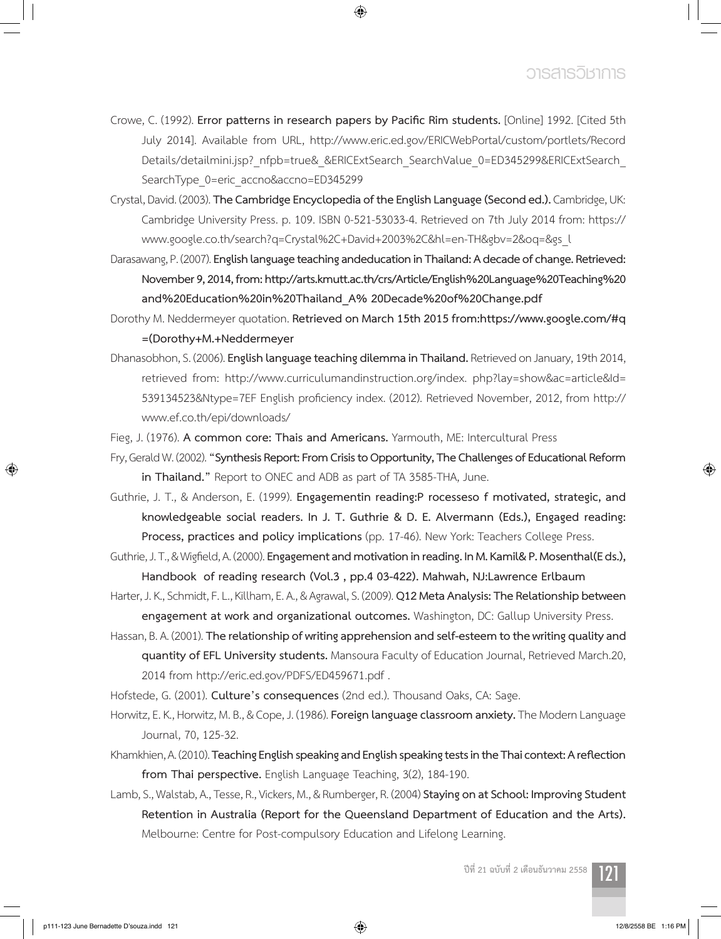Crowe, C. (1992). **Error patterns in research papers by Pacific Rim students.** [Online] 1992. [Cited 5th July 2014]. Available from URL, http://www.eric.ed.gov/ERICWebPortal/custom/portlets/Record Details/detailmini.jsp? nfpb=true& &ERICExtSearch\_SearchValue\_0=ED345299&ERICExtSearch SearchType\_0=eric\_accno&accno=ED345299

◈

- Crystal, David. (2003). **The Cambridge Encyclopedia of the English Language (Second ed.).** Cambridge, UK: Cambridge University Press. p. 109. ISBN 0-521-53033-4. Retrieved on 7th July 2014 from: https:// www.google.co.th/search?q=Crystal%2C+David+2003%2C&hl=en-TH&gbv=2&oq=&gs\_l
- Darasawang, P. (2007). **English language teaching andeducation in Thailand: A decade of change. Retrieved: November 9, 2014, from: http://arts.kmutt.ac.th/crs/Article/English%20Language%20Teaching%20 and%20Education%20in%20Thailand\_A% 20Decade%20of%20Change.pdf**
- Dorothy M. Neddermeyer quotation. **Retrieved on March 15th 2015 from:https://www.google.com/#q =(Dorothy+M.+Neddermeyer**
- Dhanasobhon, S. (2006). **English language teaching dilemma in Thailand.** Retrieved on January, 19th 2014, retrieved from: http://www.curriculumandinstruction.org/index. php?lay=show&ac=article&Id= 539134523&Ntype=7EF English proficiency index. (2012). Retrieved November, 2012, from http:// www.ef.co.th/epi/downloads/
- Fieg, J. (1976). **A common core: Thais and Americans.** Yarmouth, ME: Intercultural Press
- Fry, Gerald W. (2002). **"Synthesis Report: From Crisis to Opportunity, The Challenges of Educational Reform in Thailand."** Report to ONEC and ADB as part of TA 3585-THA, June.
- Guthrie, J. T., & Anderson, E. (1999). **Engagementin reading:P rocesseso f motivated, strategic, and knowledgeable social readers. In J. T. Guthrie & D. E. Alvermann (Eds.), Engaged reading: Process, practices and policy implications** (pp. 17-46). New York: Teachers College Press.
- Guthrie, J. T., & Wigfield, A. (2000). **Engagement and motivation in reading. In M. Kamil& P. Mosenthal(E ds.), Handbook of reading research (Vol.3 , pp.4 03-422). Mahwah, NJ:Lawrence Erlbaum**
- Harter, J. K., Schmidt, F. L., Killham, E. A., & Agrawal, S. (2009). **Q12 Meta Analysis: The Relationship between engagement at work and organizational outcomes.** Washington, DC: Gallup University Press.
- Hassan, B. A. (2001). **The relationship of writing apprehension and self-esteem to the writing quality and quantity of EFL University students.** Mansoura Faculty of Education Journal, Retrieved March.20, 2014 from http://eric.ed.gov/PDFS/ED459671.pdf .
- Hofstede, G. (2001). **Culture's consequences** (2nd ed.). Thousand Oaks, CA: Sage.
- Horwitz, E. K., Horwitz, M. B., & Cope, J. (1986). **Foreign language classroom anxiety.** The Modern Language Journal, 70, 125-32.
- Khamkhien, A. (2010). **TeachingEnglish speakingand English speakingtestsin the Thaicontext:Areflection from Thai perspective.** English Language Teaching, 3(2), 184-190.
- Lamb, S., Walstab, A., Tesse, R., Vickers, M., & Rumberger, R. (2004) **Staying on at School: Improving Student Retention in Australia (Report for the Queensland Department of Education and the Arts).** Melbourne: Centre for Post-compulsory Education and Lifelong Learning.

**ปีที่ 21 ฉบับที่ 2 เดือนธันวาคม 2558** 121

⊕

↔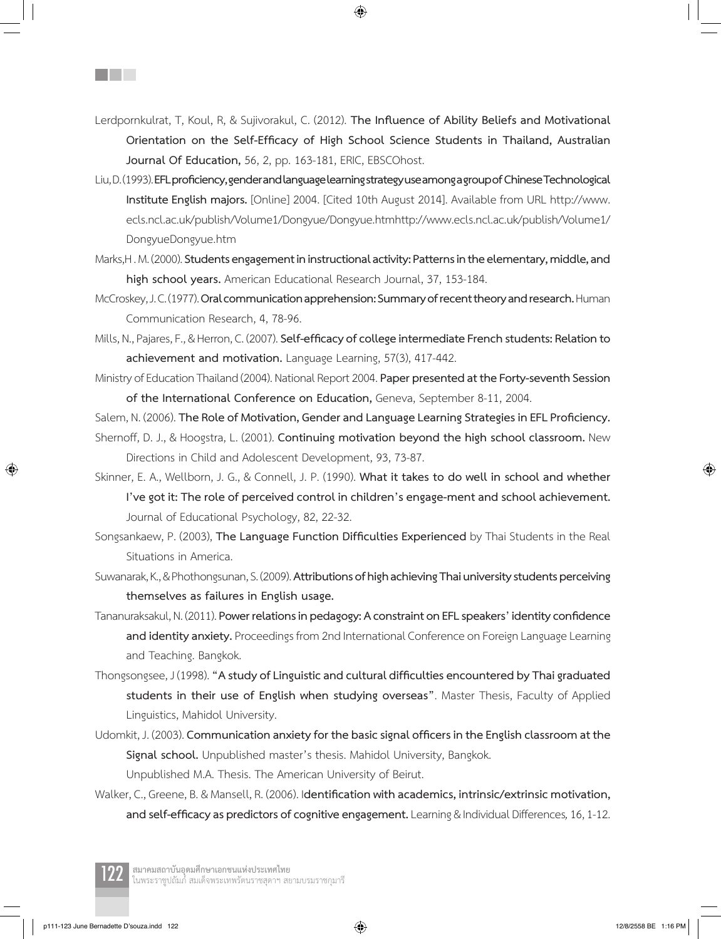Lerdpornkulrat, T, Koul, R, & Sujivorakul, C. (2012). **The Influence of Ability Beliefs and Motivational Orientation on the Self-Efficacy of High School Science Students in Thailand, Australian Journal Of Education,** 56, 2, pp. 163-181, ERIC, EBSCOhost.

- Liu, D. (1993). **EFLproficiency,genderandlanguagelearningstrategyuseamongagroupof ChineseTechnological Institute English majors.** [Online] 2004. [Cited 10th August 2014]. Available from URL http://www. ecls.ncl.ac.uk/publish/Volume1/Dongyue/Dongyue.htmhttp://www.ecls.ncl.ac.uk/publish/Volume1/ DongyueDongyue.htm
- Marks,H . M. (2000). **Students engagement in instructional activity: Patterns in the elementary, middle, and high school years.** American Educational Research Journal, 37, 153-184.
- McCroskey, J. C. (1977). **Oral communication apprehension: Summary of recent theory and research.** Human Communication Research, 4, 78-96.
- Mills, N., Pajares, F., & Herron, C. (2007). **Self-efficacy ofcollegeintermediateFrench students:Relation to achievement and motivation.** Language Learning, 57(3), 417-442.
- Ministry of Education Thailand (2004). National Report 2004. **Paper presented at the Forty-seventh Session of the International Conference on Education,** Geneva, September 8-11, 2004.

Salem, N. (2006). **TheRole of Motivation, Genderand LanguageLearningStrategies in EFLProficiency.**

- Shernoff, D. J., & Hoogstra, L. (2001). **Continuing motivation beyond the high school classroom.** New Directions in Child and Adolescent Development, 93, 73-87.
- Skinner, E. A., Wellborn, J. G., & Connell, J. P. (1990). **What it takes to do well in school and whether I've got it: The role of perceived control in children's engage-ment and school achievement.**  Journal of Educational Psychology, 82, 22-32.
- Songsankaew, P. (2003), **The Language Function Difficulties Experienced** by Thai Students in the Real Situations in America.
- Suwanarak, K., & Phothongsunan, S. (2009). **Attributions of high achieving Thai university students perceiving themselves as failures in English usage.**
- Tananuraksakul, N. (2011). **Power relationsin pedagogy: A constraint on EFLspeakers'identityconfidence and identity anxiety.** Proceedings from 2nd International Conference on Foreign Language Learning and Teaching. Bangkok.
- Thongsongsee, J (1998). **"A study ofLinguisticand cultural difficultiesencountered by Thaigraduated students in their use of English when studying overseas"**. Master Thesis, Faculty of Applied Linguistics, Mahidol University.
- Udomkit, J. (2003). **Communication anxietyfor the basicsignal officers in theEnglish classroomat the Signal school.** Unpublished master's thesis. Mahidol University, Bangkok. Unpublished M.A. Thesis. The American University of Beirut.
- Walker, C., Greene, B. & Mansell, R. (2006). I**dentification with academics, intrinsic/extrinsic motivation, and self-efficacyas predictors ofcognitiveengagement.**Learning & Individual Differences*,* 16, 1-12.



⊕

**Film** 

ี**สมาคมสถาบันอุดมศึกษาเอกชนแห่งประเทศไทย**<br>ในพระราชูปถัมภ์ สมเด็จพระเทพรัตนราชสุดาฯ สยามบรมราชกุมารี

 $\bigoplus$ 

◈